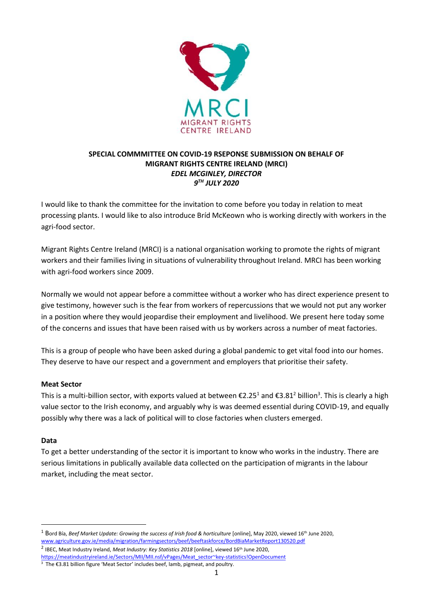

# **SPECIAL COMMMITTEE ON COVID-19 RSEPONSE SUBMISSION ON BEHALF OF MIGRANT RIGHTS CENTRE IRELAND (MRCI)** *EDEL MCGINLEY, DIRECTOR 9 TH JULY 2020*

I would like to thank the committee for the invitation to come before you today in relation to meat processing plants. I would like to also introduce Bríd McKeown who is working directly with workers in the agri-food sector.

Migrant Rights Centre Ireland (MRCI) is a national organisation working to promote the rights of migrant workers and their families living in situations of vulnerability throughout Ireland. MRCI has been working with agri-food workers since 2009.

Normally we would not appear before a committee without a worker who has direct experience present to give testimony, however such is the fear from workers of repercussions that we would not put any worker in a position where they would jeopardise their employment and livelihood. We present here today some of the concerns and issues that have been raised with us by workers across a number of meat factories.

This is a group of people who have been asked during a global pandemic to get vital food into our homes. They deserve to have our respect and a government and employers that prioritise their safety.

## **Meat Sector**

This is a multi-billion sector, with exports valued at between €2.25<sup>1</sup> and €3.81<sup>2</sup> billion<sup>3</sup>. This is clearly a high value sector to the Irish economy, and arguably why is was deemed essential during COVID-19, and equally possibly why there was a lack of political will to close factories when clusters emerged.

#### **Data**

1

To get a better understanding of the sector it is important to know who works in the industry. There are serious limitations in publically available data collected on the participation of migrants in the labour market, including the meat sector.

<sup>1</sup> Bord Bía, Beef Market Update: Growing the success of Irish food & horticulture [online], May 2020, viewed 16<sup>th</sup> June 2020, [www.agriculture.gov.ie/media/migration/farmingsectors/beef/beeftaskforce/BordBiaMarketReport130520.pdf](http://www.agriculture.gov.ie/media/migration/farmingsectors/beef/beeftaskforce/BordBiaMarketReport130520.pdf)

<sup>2</sup> IBEC, Meat Industry Ireland, Meat Industry: Key Statistics 2018 [online], viewed 16<sup>th</sup> June 2020, [https://meatindustryireland.ie/Sectors/MII/MII.nsf/vPages/Meat\\_sector~key-statistics!OpenDocument](https://meatindustryireland.ie/Sectors/MII/MII.nsf/vPages/Meat_sector~key-statistics!OpenDocument)

 $\frac{3}{3}$  The  $\epsilon$ 3.81 billion figure 'Meat Sector' includes beef, lamb, pigmeat, and poultry.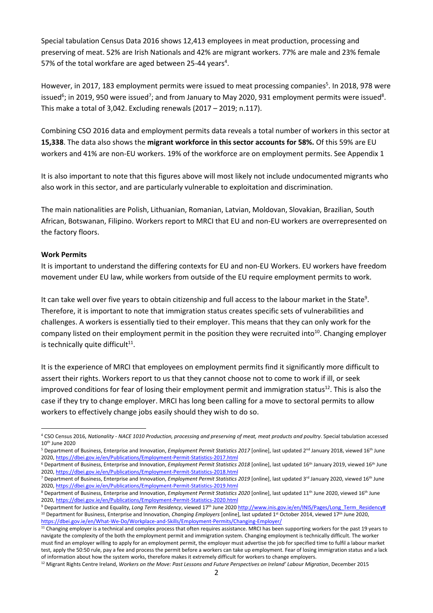Special tabulation Census Data 2016 shows 12,413 employees in meat production, processing and preserving of meat. 52% are Irish Nationals and 42% are migrant workers. 77% are male and 23% female 57% of the total workfare are aged between 25-44 years<sup>4</sup>.

However, in 2017, 183 employment permits were issued to meat processing companies<sup>5</sup>. In 2018, 978 were issued<sup>6</sup>; in 2019, 950 were issued<sup>7</sup>; and from January to May 2020, 931 employment permits were issued<sup>8</sup>. This make a total of 3,042. Excluding renewals (2017 – 2019; n.117).

Combining CSO 2016 data and employment permits data reveals a total number of workers in this sector at **15,338**. The data also shows the **migrant workforce in this sector accounts for 58%.** Of this 59% are EU workers and 41% are non-EU workers. 19% of the workforce are on employment permits. See Appendix 1

It is also important to note that this figures above will most likely not include undocumented migrants who also work in this sector, and are particularly vulnerable to exploitation and discrimination.

The main nationalities are Polish, Lithuanian, Romanian, Latvian, Moldovan, Slovakian, Brazilian, South African, Botswanan, Filipino. Workers report to MRCI that EU and non-EU workers are overrepresented on the factory floors.

#### **Work Permits**

1

It is important to understand the differing contexts for EU and non-EU Workers. EU workers have freedom movement under EU law, while workers from outside of the EU require employment permits to work.

It can take well over five years to obtain citizenship and full access to the labour market in the State<sup>9</sup>. Therefore, it is important to note that immigration status creates specific sets of vulnerabilities and challenges. A workers is essentially tied to their employer. This means that they can only work for the company listed on their employment permit in the position they were recruited into<sup>10</sup>. Changing employer is technically quite difficult $11$ .

It is the experience of MRCI that employees on employment permits find it significantly more difficult to assert their rights. Workers report to us that they cannot choose not to come to work if ill, or seek improved conditions for fear of losing their employment permit and immigration status<sup>12</sup>. This is also the case if they try to change employer. MRCI has long been calling for a move to sectoral permits to allow workers to effectively change jobs easily should they wish to do so.

<sup>4</sup> CSO Census 2016, *Nationality - NACE 1010 Production, processing and preserving of meat, meat products and poultry*. Special tabulation accessed 10th June 2020

<sup>&</sup>lt;sup>5</sup> Department of Business, Enterprise and Innovation, *Employment Permit Statistics 2017* [online], last updated 2<sup>nd</sup> January 2018, viewed 16<sup>th</sup> June 2020[, https://dbei.gov.ie/en/Publications/Employment-Permit-Statistics-2017.html](https://dbei.gov.ie/en/Publications/Employment-Permit-Statistics-2017.html)

<sup>6</sup> Department of Business, Enterprise and Innovation, *Employment Permit Statistics 2018* [online], last updated 16th January 2019, viewed 16th June 2020[, https://dbei.gov.ie/en/Publications/Employment-Permit-Statistics-2018.html](https://dbei.gov.ie/en/Publications/Employment-Permit-Statistics-2018.html)

<sup>&</sup>lt;sup>7</sup> Department of Business, Enterprise and Innovation, *Employment Permit Statistics 2019* [online], last updated 3<sup>rd</sup> January 2020, viewed 16<sup>th</sup> June 2020[, https://dbei.gov.ie/en/Publications/Employment-Permit-Statistics-2019.html](https://dbei.gov.ie/en/Publications/Employment-Permit-Statistics-2019.html)

<sup>8</sup> Department of Business, Enterprise and Innovation, Employment Permit Statistics 2020 [online], last updated 11<sup>th</sup> June 2020, viewed 16<sup>th</sup> June 2020[, https://dbei.gov.ie/en/Publications/Employment-Permit-Statistics-2020.html](https://dbei.gov.ie/en/Publications/Employment-Permit-Statistics-2020.html)

<sup>&</sup>lt;sup>9</sup> Department for Justice and Equality, *Long Term Residency*, viewed 17<sup>th</sup> June 202[0 http://www.inis.gov.ie/en/INIS/Pages/Long\\_Term\\_Residency#](http://www.inis.gov.ie/en/INIS/Pages/Long_Term_Residency) <sup>10</sup> Department for Business, Enterprise and Innovation, *Changing Employers* [online], last updated 1<sup>st</sup> October 2014, viewed 17<sup>th</sup> June 2020, <https://dbei.gov.ie/en/What-We-Do/Workplace-and-Skills/Employment-Permits/Changing-Employer/>

<sup>&</sup>lt;sup>11</sup> Changing employer is a technical and complex process that often requires assistance. MRCI has been supporting workers for the past 19 years to navigate the complexity of the both the employment permit and immigration system. Changing employment is technically difficult. The worker must find an employer willing to apply for an employment permit, the employer must advertise the job for specified time to fulfil a labour market test, apply the 50:50 rule, pay a fee and process the permit before a workers can take up employment. Fear of losing immigration status and a lack of information about how the system works, therefore makes it extremely difficult for workers to change employers.

<sup>&</sup>lt;sup>12</sup> Migrant Rights Centre Ireland, *Workers on the Move: Past Lessons and Future Perspectives on Ireland' Labour Migration*, December 2015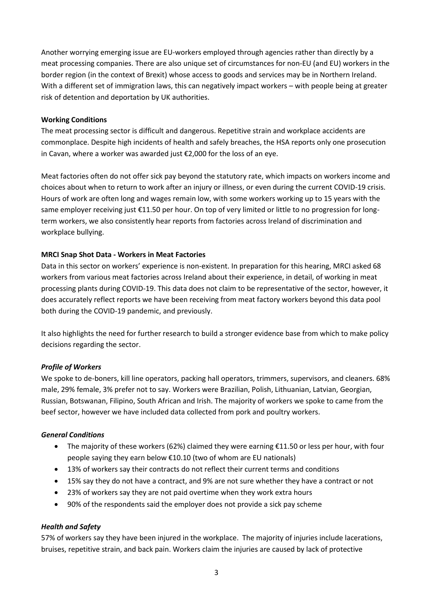Another worrying emerging issue are EU-workers employed through agencies rather than directly by a meat processing companies. There are also unique set of circumstances for non-EU (and EU) workers in the border region (in the context of Brexit) whose access to goods and services may be in Northern Ireland. With a different set of immigration laws, this can negatively impact workers – with people being at greater risk of detention and deportation by UK authorities.

#### **Working Conditions**

The meat processing sector is difficult and dangerous. Repetitive strain and workplace accidents are commonplace. Despite high incidents of health and safely breaches, the HSA reports only one prosecution in Cavan, where a worker was awarded just €2,000 for the loss of an eye.

Meat factories often do not offer sick pay beyond the statutory rate, which impacts on workers income and choices about when to return to work after an injury or illness, or even during the current COVID-19 crisis. Hours of work are often long and wages remain low, with some workers working up to 15 years with the same employer receiving just €11.50 per hour. On top of very limited or little to no progression for longterm workers, we also consistently hear reports from factories across Ireland of discrimination and workplace bullying.

## **MRCI Snap Shot Data - Workers in Meat Factories**

Data in this sector on workers' experience is non-existent. In preparation for this hearing, MRCI asked 68 workers from various meat factories across Ireland about their experience, in detail, of working in meat processing plants during COVID-19. This data does not claim to be representative of the sector, however, it does accurately reflect reports we have been receiving from meat factory workers beyond this data pool both during the COVID-19 pandemic, and previously.

It also highlights the need for further research to build a stronger evidence base from which to make policy decisions regarding the sector.

## *Profile of Workers*

We spoke to de-boners, kill line operators, packing hall operators, trimmers, supervisors, and cleaners. 68% male, 29% female, 3% prefer not to say. Workers were Brazilian, Polish, Lithuanian, Latvian, Georgian, Russian, Botswanan, Filipino, South African and Irish. The majority of workers we spoke to came from the beef sector, however we have included data collected from pork and poultry workers.

## *General Conditions*

- The majority of these workers (62%) claimed they were earning  $£11.50$  or less per hour, with four people saying they earn below €10.10 (two of whom are EU nationals)
- 13% of workers say their contracts do not reflect their current terms and conditions
- 15% say they do not have a contract, and 9% are not sure whether they have a contract or not
- 23% of workers say they are not paid overtime when they work extra hours
- 90% of the respondents said the employer does not provide a sick pay scheme

## *Health and Safety*

57% of workers say they have been injured in the workplace. The majority of injuries include lacerations, bruises, repetitive strain, and back pain. Workers claim the injuries are caused by lack of protective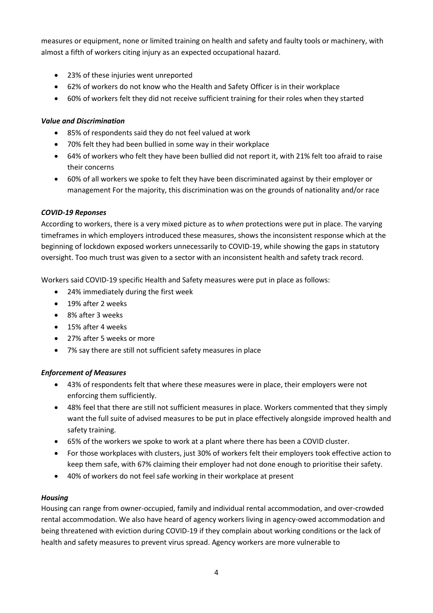measures or equipment, none or limited training on health and safety and faulty tools or machinery, with almost a fifth of workers citing injury as an expected occupational hazard.

- 23% of these injuries went unreported
- 62% of workers do not know who the Health and Safety Officer is in their workplace
- 60% of workers felt they did not receive sufficient training for their roles when they started

## *Value and Discrimination*

- 85% of respondents said they do not feel valued at work
- 70% felt they had been bullied in some way in their workplace
- 64% of workers who felt they have been bullied did not report it, with 21% felt too afraid to raise their concerns
- 60% of all workers we spoke to felt they have been discriminated against by their employer or management For the majority, this discrimination was on the grounds of nationality and/or race

# *COVID-19 Reponses*

According to workers, there is a very mixed picture as to *when* protections were put in place. The varying timeframes in which employers introduced these measures, shows the inconsistent response which at the beginning of lockdown exposed workers unnecessarily to COVID-19, while showing the gaps in statutory oversight. Too much trust was given to a sector with an inconsistent health and safety track record.

Workers said COVID-19 specific Health and Safety measures were put in place as follows:

- 24% immediately during the first week
- 19% after 2 weeks
- 8% after 3 weeks
- 15% after 4 weeks
- 27% after 5 weeks or more
- 7% say there are still not sufficient safety measures in place

## *Enforcement of Measures*

- 43% of respondents felt that where these measures were in place, their employers were not enforcing them sufficiently.
- 48% feel that there are still not sufficient measures in place. Workers commented that they simply want the full suite of advised measures to be put in place effectively alongside improved health and safety training.
- 65% of the workers we spoke to work at a plant where there has been a COVID cluster.
- For those workplaces with clusters, just 30% of workers felt their employers took effective action to keep them safe, with 67% claiming their employer had not done enough to prioritise their safety.
- 40% of workers do not feel safe working in their workplace at present

# *Housing*

Housing can range from owner-occupied, family and individual rental accommodation, and over-crowded rental accommodation. We also have heard of agency workers living in agency-owed accommodation and being threatened with eviction during COVID-19 if they complain about working conditions or the lack of health and safety measures to prevent virus spread. Agency workers are more vulnerable to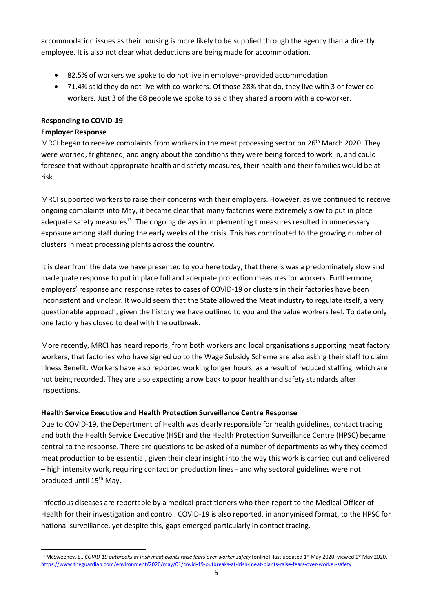accommodation issues as their housing is more likely to be supplied through the agency than a directly employee. It is also not clear what deductions are being made for accommodation.

- 82.5% of workers we spoke to do not live in employer-provided accommodation.
- 71.4% said they do not live with co-workers. Of those 28% that do, they live with 3 or fewer coworkers. Just 3 of the 68 people we spoke to said they shared a room with a co-worker.

# **Responding to COVID-19**

## **Employer Response**

MRCI began to receive complaints from workers in the meat processing sector on  $26<sup>th</sup>$  March 2020. They were worried, frightened, and angry about the conditions they were being forced to work in, and could foresee that without appropriate health and safety measures, their health and their families would be at risk.

MRCI supported workers to raise their concerns with their employers. However, as we continued to receive ongoing complaints into May, it became clear that many factories were extremely slow to put in place adequate safety measures<sup>13</sup>. The ongoing delays in implementing t measures resulted in unnecessary exposure among staff during the early weeks of the crisis. This has contributed to the growing number of clusters in meat processing plants across the country.

It is clear from the data we have presented to you here today, that there is was a predominately slow and inadequate response to put in place full and adequate protection measures for workers. Furthermore, employers' response and response rates to cases of COVID-19 or clusters in their factories have been inconsistent and unclear. It would seem that the State allowed the Meat industry to regulate itself, a very questionable approach, given the history we have outlined to you and the value workers feel. To date only one factory has closed to deal with the outbreak.

More recently, MRCI has heard reports, from both workers and local organisations supporting meat factory workers, that factories who have signed up to the Wage Subsidy Scheme are also asking their staff to claim Illness Benefit. Workers have also reported working longer hours, as a result of reduced staffing, which are not being recorded. They are also expecting a row back to poor health and safety standards after inspections.

## **Health Service Executive and Health Protection Surveillance Centre Response**

Due to COVID-19, the Department of Health was clearly responsible for health guidelines, contact tracing and both the Health Service Executive (HSE) and the Health Protection Surveillance Centre (HPSC) became central to the response. There are questions to be asked of a number of departments as why they deemed meat production to be essential, given their clear insight into the way this work is carried out and delivered – high intensity work, requiring contact on production lines - and why sectoral guidelines were not produced until 15<sup>th</sup> May.

Infectious diseases are reportable by a medical practitioners who then report to the Medical Officer of Health for their investigation and control. COVID-19 is also reported, in anonymised format, to the HPSC for national surveillance, yet despite this, gaps emerged particularly in contact tracing.

<sup>1</sup> <sup>13</sup> McSweeney, E., *COVID-19 outbreaks at Irish meat plants raise fears over worker safety* [online], last updated 1<sup>st</sup> May 2020, viewed 1<sup>st</sup> May 2020, <https://www.theguardian.com/environment/2020/may/01/covid-19-outbreaks-at-irish-meat-plants-raise-fears-over-worker-safety>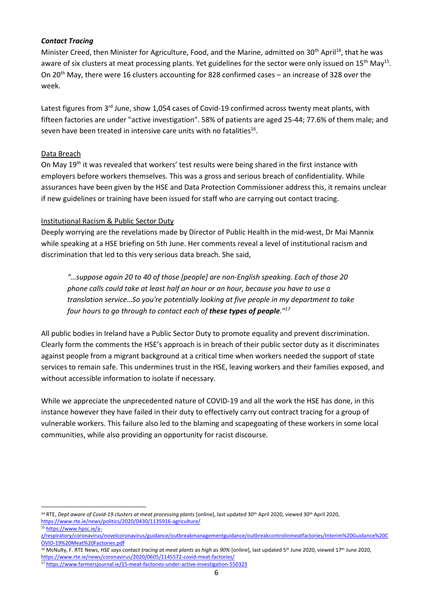#### *Contact Tracing*

Minister Creed, then Minister for Agriculture, Food, and the Marine, admitted on 30<sup>th</sup> April<sup>14</sup>, that he was aware of six clusters at meat processing plants. Yet guidelines for the sector were only issued on 15<sup>th</sup> May<sup>15</sup>. On 20th May, there were 16 clusters accounting for 828 confirmed cases – an increase of 328 over the week.

Latest figures from 3<sup>rd</sup> June, show 1,054 cases of Covid-19 confirmed across twenty meat plants, with fifteen factories are under "active investigation". 58% of patients are aged 25-44; 77.6% of them male; and seven have been treated in intensive care units with no fatalities $^{16}$ .

## Data Breach

On May 19<sup>th</sup> it was revealed that workers' test results were being shared in the first instance with employers before workers themselves. This was a gross and serious breach of confidentiality. While assurances have been given by the HSE and Data Protection Commissioner address this, it remains unclear if new guidelines or training have been issued for staff who are carrying out contact tracing.

## Institutional Racism & Public Sector Duty

Deeply worrying are the revelations made by Director of Public Health in the mid-west, Dr Mai Mannix while speaking at a HSE briefing on 5th June. Her comments reveal a level of institutional racism and discrimination that led to this very serious data breach. She said,

*"…suppose again 20 to 40 of those [people] are non-English speaking. Each of those 20 phone calls could take at least half an hour or an hour, because you have to use a translation service…So you're potentially looking at five people in my department to take four hours to go through to contact each of these types of people."<sup>17</sup>*

All public bodies in Ireland have a Public Sector Duty to promote equality and prevent discrimination. Clearly form the comments the HSE's approach is in breach of their public sector duty as it discriminates against people from a migrant background at a critical time when workers needed the support of state services to remain safe. This undermines trust in the HSE, leaving workers and their families exposed, and without accessible information to isolate if necessary.

While we appreciate the unprecedented nature of COVID-19 and all the work the HSE has done, in this instance however they have failed in their duty to effectively carry out contract tracing for a group of vulnerable workers. This failure also led to the blaming and scapegoating of these workers in some local communities, while also providing an opportunity for racist discourse.

<sup>16</sup> McNulty, F. RTE News, HSE says contact tracing at meat plants as high as 90% [online], last updated 5<sup>th</sup> June 2020, viewed 17<sup>th</sup> June 2020, <https://www.rte.ie/news/coronavirus/2020/0605/1145572-covid-meat-factories/>

**<sup>.</sup>** <sup>14</sup> RTE, Dept aware of Covid-19 clusters at meat processing plants [online], last updated 30<sup>th</sup> April 2020, viewed 30<sup>th</sup> April 2020, <https://www.rte.ie/news/politics/2020/0430/1135916-agriculture/>

<sup>15</sup> [https://www.hpsc.ie/a-](https://www.hpsc.ie/a-z/respiratory/coronavirus/novelcoronavirus/guidance/outbreakmanagementguidance/outbreakcontrolinmeatfactories/Interim%20Guidance%20COVID-19%20Meat%20Factories.pdf)

[z/respiratory/coronavirus/novelcoronavirus/guidance/outbreakmanagementguidance/outbreakcontrolinmeatfactories/Interim%20Guidance%20C](https://www.hpsc.ie/a-z/respiratory/coronavirus/novelcoronavirus/guidance/outbreakmanagementguidance/outbreakcontrolinmeatfactories/Interim%20Guidance%20COVID-19%20Meat%20Factories.pdf) [OVID-19%20Meat%20Factories.pdf](https://www.hpsc.ie/a-z/respiratory/coronavirus/novelcoronavirus/guidance/outbreakmanagementguidance/outbreakcontrolinmeatfactories/Interim%20Guidance%20COVID-19%20Meat%20Factories.pdf)

<sup>17</sup> <https://www.farmersjournal.ie/15-meat-factories-under-active-investigation-550323>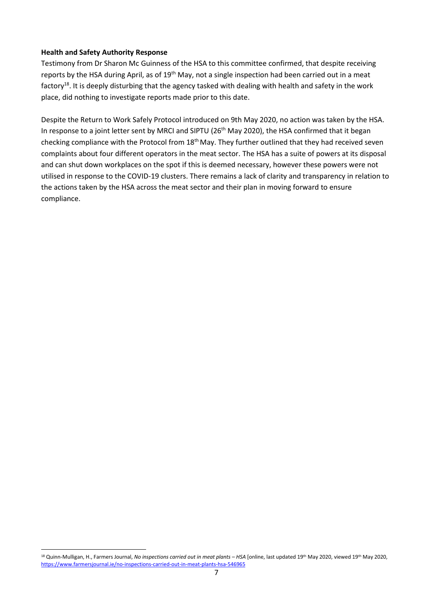#### **Health and Safety Authority Response**

1

Testimony from Dr Sharon Mc Guinness of the HSA to this committee confirmed, that despite receiving reports by the HSA during April, as of 19<sup>th</sup> May, not a single inspection had been carried out in a meat factory<sup>18</sup>. It is deeply disturbing that the agency tasked with dealing with health and safety in the work place, did nothing to investigate reports made prior to this date.

Despite the Return to Work Safely Protocol introduced on 9th May 2020, no action was taken by the HSA. In response to a joint letter sent by MRCI and SIPTU (26<sup>th</sup> May 2020), the HSA confirmed that it began checking compliance with the Protocol from 18<sup>th</sup> May. They further outlined that they had received seven complaints about four different operators in the meat sector. The HSA has a suite of powers at its disposal and can shut down workplaces on the spot if this is deemed necessary, however these powers were not utilised in response to the COVID-19 clusters. There remains a lack of clarity and transparency in relation to the actions taken by the HSA across the meat sector and their plan in moving forward to ensure compliance.

<sup>&</sup>lt;sup>18</sup> Quinn-Mulligan, H., Farmers Journal, *No inspections carried out in meat plants - HSA* [online, last updated 19<sup>th</sup> May 2020, viewed 19<sup>th</sup> May 2020, <https://www.farmersjournal.ie/no-inspections-carried-out-in-meat-plants-hsa-546965>